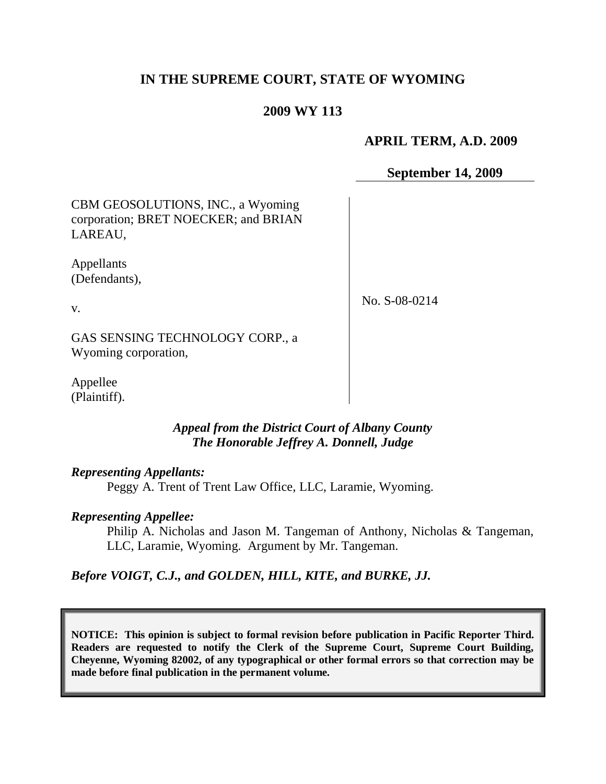# **IN THE SUPREME COURT, STATE OF WYOMING**

## **2009 WY 113**

## **APRIL TERM, A.D. 2009**

## **September 14, 2009**

CBM GEOSOLUTIONS, INC., a Wyoming corporation; BRET NOECKER; and BRIAN LAREAU,

Appellants (Defendants),

No. S-08-0214

GAS SENSING TECHNOLOGY CORP., a Wyoming corporation,

Appellee (Plaintiff).

### *Appeal from the District Court of Albany County The Honorable Jeffrey A. Donnell, Judge*

#### *Representing Appellants:*

Peggy A. Trent of Trent Law Office, LLC, Laramie, Wyoming.

### *Representing Appellee:*

Philip A. Nicholas and Jason M. Tangeman of Anthony, Nicholas & Tangeman, LLC, Laramie, Wyoming. Argument by Mr. Tangeman.

*Before VOIGT, C.J., and GOLDEN, HILL, KITE, and BURKE, JJ.*

**NOTICE: This opinion is subject to formal revision before publication in Pacific Reporter Third. Readers are requested to notify the Clerk of the Supreme Court, Supreme Court Building, Cheyenne, Wyoming 82002, of any typographical or other formal errors so that correction may be made before final publication in the permanent volume.**

v.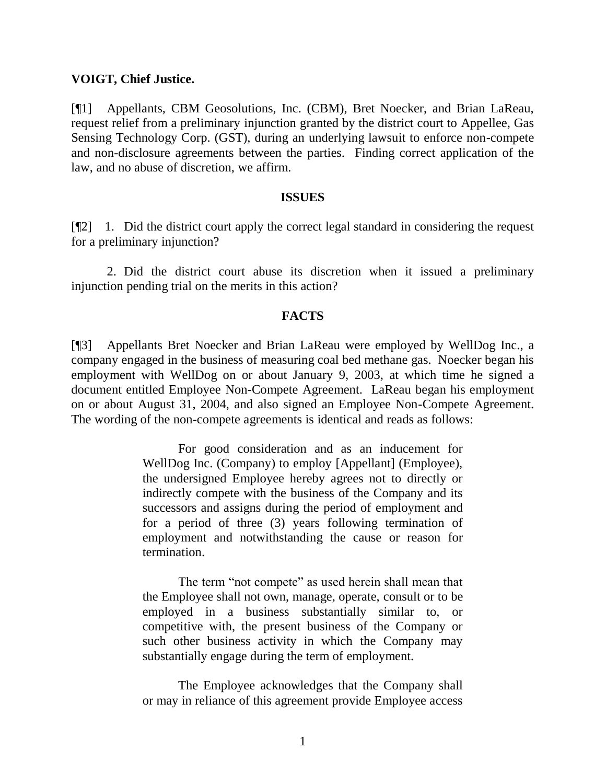### **VOIGT, Chief Justice.**

[¶1] Appellants, CBM Geosolutions, Inc. (CBM), Bret Noecker, and Brian LaReau, request relief from a preliminary injunction granted by the district court to Appellee, Gas Sensing Technology Corp. (GST), during an underlying lawsuit to enforce non-compete and non-disclosure agreements between the parties. Finding correct application of the law, and no abuse of discretion, we affirm.

#### **ISSUES**

[¶2] 1. Did the district court apply the correct legal standard in considering the request for a preliminary injunction?

2. Did the district court abuse its discretion when it issued a preliminary injunction pending trial on the merits in this action?

### **FACTS**

[¶3] Appellants Bret Noecker and Brian LaReau were employed by WellDog Inc., a company engaged in the business of measuring coal bed methane gas. Noecker began his employment with WellDog on or about January 9, 2003, at which time he signed a document entitled Employee Non-Compete Agreement. LaReau began his employment on or about August 31, 2004, and also signed an Employee Non-Compete Agreement. The wording of the non-compete agreements is identical and reads as follows:

> For good consideration and as an inducement for WellDog Inc. (Company) to employ [Appellant] (Employee), the undersigned Employee hereby agrees not to directly or indirectly compete with the business of the Company and its successors and assigns during the period of employment and for a period of three (3) years following termination of employment and notwithstanding the cause or reason for termination.

> The term "not compete" as used herein shall mean that the Employee shall not own, manage, operate, consult or to be employed in a business substantially similar to, or competitive with, the present business of the Company or such other business activity in which the Company may substantially engage during the term of employment.

> The Employee acknowledges that the Company shall or may in reliance of this agreement provide Employee access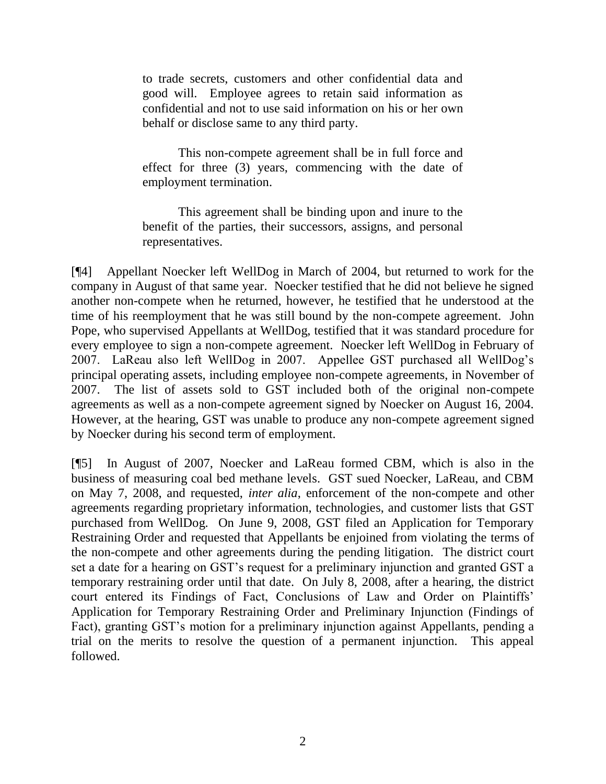to trade secrets, customers and other confidential data and good will. Employee agrees to retain said information as confidential and not to use said information on his or her own behalf or disclose same to any third party.

This non-compete agreement shall be in full force and effect for three (3) years, commencing with the date of employment termination.

This agreement shall be binding upon and inure to the benefit of the parties, their successors, assigns, and personal representatives.

[¶4] Appellant Noecker left WellDog in March of 2004, but returned to work for the company in August of that same year. Noecker testified that he did not believe he signed another non-compete when he returned, however, he testified that he understood at the time of his reemployment that he was still bound by the non-compete agreement. John Pope, who supervised Appellants at WellDog, testified that it was standard procedure for every employee to sign a non-compete agreement. Noecker left WellDog in February of 2007. LaReau also left WellDog in 2007. Appellee GST purchased all WellDog's principal operating assets, including employee non-compete agreements, in November of 2007. The list of assets sold to GST included both of the original non-compete agreements as well as a non-compete agreement signed by Noecker on August 16, 2004. However, at the hearing, GST was unable to produce any non-compete agreement signed by Noecker during his second term of employment.

[¶5] In August of 2007, Noecker and LaReau formed CBM, which is also in the business of measuring coal bed methane levels. GST sued Noecker, LaReau, and CBM on May 7, 2008, and requested, *inter alia*, enforcement of the non-compete and other agreements regarding proprietary information, technologies, and customer lists that GST purchased from WellDog. On June 9, 2008, GST filed an Application for Temporary Restraining Order and requested that Appellants be enjoined from violating the terms of the non-compete and other agreements during the pending litigation. The district court set a date for a hearing on GST's request for a preliminary injunction and granted GST a temporary restraining order until that date. On July 8, 2008, after a hearing, the district court entered its Findings of Fact, Conclusions of Law and Order on Plaintiffs' Application for Temporary Restraining Order and Preliminary Injunction (Findings of Fact), granting GST's motion for a preliminary injunction against Appellants, pending a trial on the merits to resolve the question of a permanent injunction. This appeal followed.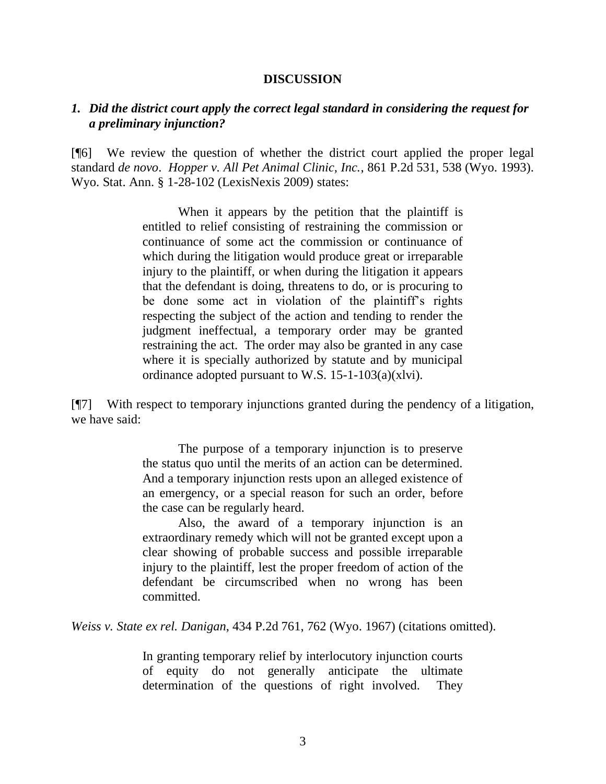#### **DISCUSSION**

### *1. Did the district court apply the correct legal standard in considering the request for a preliminary injunction?*

[¶6] We review the question of whether the district court applied the proper legal standard *de novo*. *Hopper v. All Pet Animal Clinic, Inc.*, 861 P.2d 531, 538 (Wyo. 1993). Wyo. Stat. Ann. § 1-28-102 (LexisNexis 2009) states:

> When it appears by the petition that the plaintiff is entitled to relief consisting of restraining the commission or continuance of some act the commission or continuance of which during the litigation would produce great or irreparable injury to the plaintiff, or when during the litigation it appears that the defendant is doing, threatens to do, or is procuring to be done some act in violation of the plaintiff's rights respecting the subject of the action and tending to render the judgment ineffectual, a temporary order may be granted restraining the act. The order may also be granted in any case where it is specially authorized by statute and by municipal ordinance adopted pursuant to W.S. 15-1-103(a)(xlvi).

[¶7] With respect to temporary injunctions granted during the pendency of a litigation, we have said:

> The purpose of a temporary injunction is to preserve the status quo until the merits of an action can be determined. And a temporary injunction rests upon an alleged existence of an emergency, or a special reason for such an order, before the case can be regularly heard.

> Also, the award of a temporary injunction is an extraordinary remedy which will not be granted except upon a clear showing of probable success and possible irreparable injury to the plaintiff, lest the proper freedom of action of the defendant be circumscribed when no wrong has been committed.

*Weiss v. State ex rel. Danigan*, 434 P.2d 761, 762 (Wyo. 1967) (citations omitted).

In granting temporary relief by interlocutory injunction courts of equity do not generally anticipate the ultimate determination of the questions of right involved. They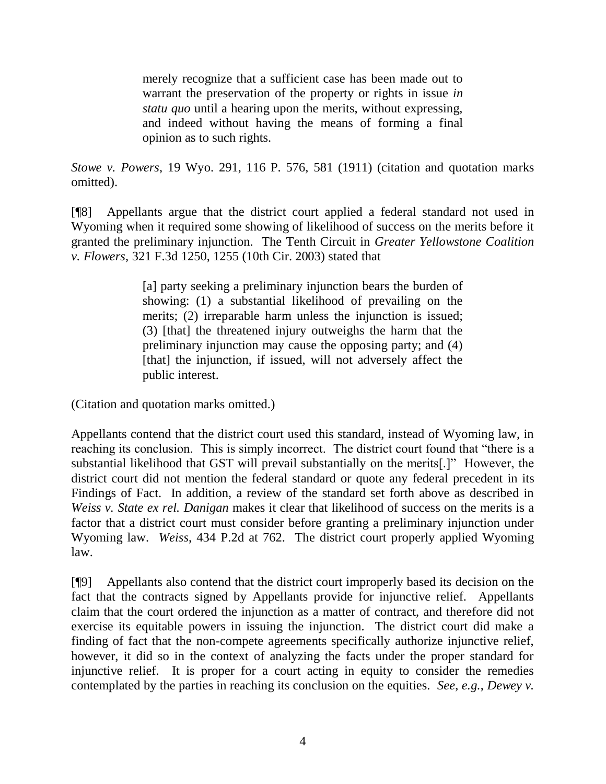merely recognize that a sufficient case has been made out to warrant the preservation of the property or rights in issue *in statu quo* until a hearing upon the merits, without expressing, and indeed without having the means of forming a final opinion as to such rights.

*Stowe v. Powers*, 19 Wyo. 291, 116 P. 576, 581 (1911) (citation and quotation marks omitted).

[¶8] Appellants argue that the district court applied a federal standard not used in Wyoming when it required some showing of likelihood of success on the merits before it granted the preliminary injunction. The Tenth Circuit in *Greater Yellowstone Coalition v. Flowers*, 321 F.3d 1250, 1255 (10th Cir. 2003) stated that

> [a] party seeking a preliminary injunction bears the burden of showing: (1) a substantial likelihood of prevailing on the merits; (2) irreparable harm unless the injunction is issued; (3) [that] the threatened injury outweighs the harm that the preliminary injunction may cause the opposing party; and (4) [that] the injunction, if issued, will not adversely affect the public interest.

(Citation and quotation marks omitted.)

Appellants contend that the district court used this standard, instead of Wyoming law, in reaching its conclusion. This is simply incorrect. The district court found that "there is a substantial likelihood that GST will prevail substantially on the merits[.]" However, the district court did not mention the federal standard or quote any federal precedent in its Findings of Fact. In addition, a review of the standard set forth above as described in *Weiss v. State ex rel. Danigan* makes it clear that likelihood of success on the merits is a factor that a district court must consider before granting a preliminary injunction under Wyoming law. *Weiss*, 434 P.2d at 762. The district court properly applied Wyoming law.

[¶9] Appellants also contend that the district court improperly based its decision on the fact that the contracts signed by Appellants provide for injunctive relief. Appellants claim that the court ordered the injunction as a matter of contract, and therefore did not exercise its equitable powers in issuing the injunction. The district court did make a finding of fact that the non-compete agreements specifically authorize injunctive relief, however, it did so in the context of analyzing the facts under the proper standard for injunctive relief. It is proper for a court acting in equity to consider the remedies contemplated by the parties in reaching its conclusion on the equities. *See*, *e.g.*, *Dewey v.*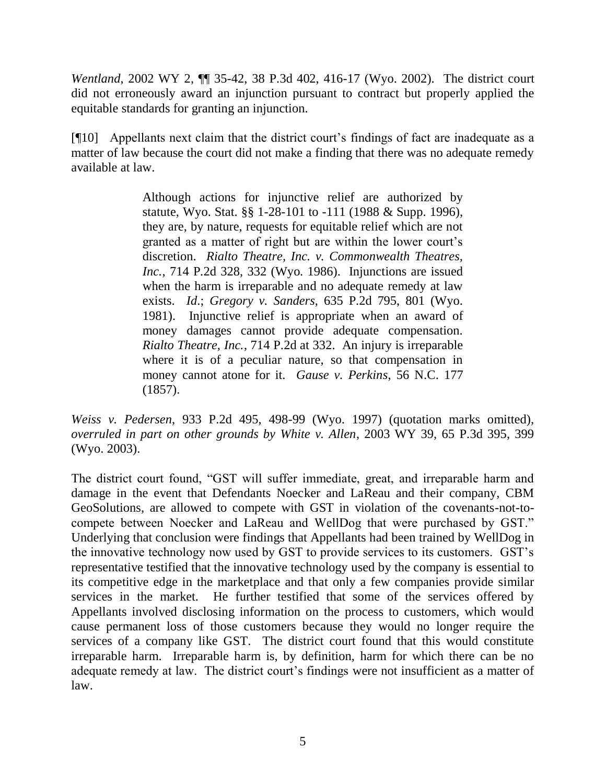*Wentland*, 2002 WY 2,  $\P$  35-42, 38 P.3d 402, 416-17 (Wyo. 2002). The district court did not erroneously award an injunction pursuant to contract but properly applied the equitable standards for granting an injunction.

[¶10] Appellants next claim that the district court's findings of fact are inadequate as a matter of law because the court did not make a finding that there was no adequate remedy available at law.

> Although actions for injunctive relief are authorized by statute, Wyo. Stat. §§ 1-28-101 to -111 (1988 & Supp. 1996), they are, by nature, requests for equitable relief which are not granted as a matter of right but are within the lower court's discretion. *Rialto Theatre, Inc. v. Commonwealth Theatres, Inc.*, 714 P.2d 328, 332 (Wyo. 1986). Injunctions are issued when the harm is irreparable and no adequate remedy at law exists. *Id*.; *Gregory v. Sanders*, 635 P.2d 795, 801 (Wyo. 1981). Injunctive relief is appropriate when an award of money damages cannot provide adequate compensation. *Rialto Theatre, Inc.*, 714 P.2d at 332. An injury is irreparable where it is of a peculiar nature, so that compensation in money cannot atone for it. *Gause v. Perkins*, 56 N.C. 177 (1857).

*Weiss v. Pedersen*, 933 P.2d 495, 498-99 (Wyo. 1997) (quotation marks omitted), *overruled in part on other grounds by White v. Allen*, 2003 WY 39, 65 P.3d 395, 399 (Wyo. 2003).

The district court found, "GST will suffer immediate, great, and irreparable harm and damage in the event that Defendants Noecker and LaReau and their company, CBM GeoSolutions, are allowed to compete with GST in violation of the covenants-not-tocompete between Noecker and LaReau and WellDog that were purchased by GST." Underlying that conclusion were findings that Appellants had been trained by WellDog in the innovative technology now used by GST to provide services to its customers. GST's representative testified that the innovative technology used by the company is essential to its competitive edge in the marketplace and that only a few companies provide similar services in the market. He further testified that some of the services offered by Appellants involved disclosing information on the process to customers, which would cause permanent loss of those customers because they would no longer require the services of a company like GST. The district court found that this would constitute irreparable harm. Irreparable harm is, by definition, harm for which there can be no adequate remedy at law. The district court's findings were not insufficient as a matter of law.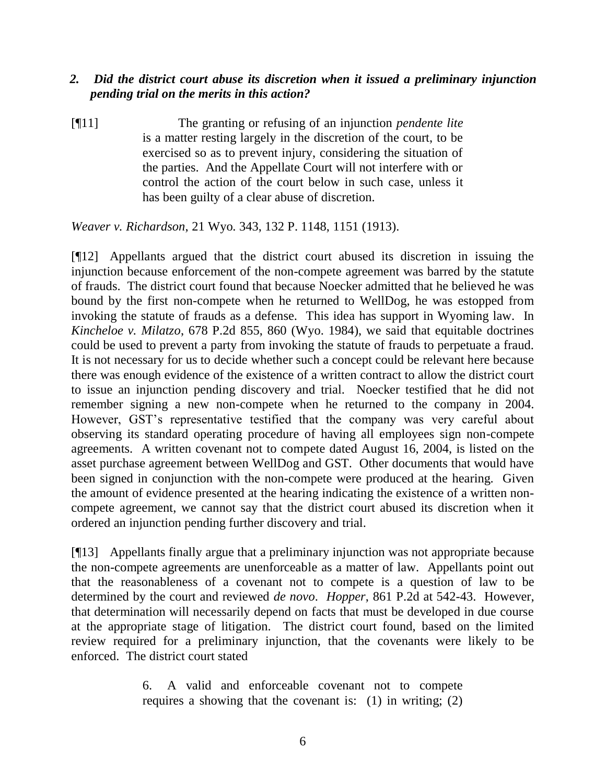## *2. Did the district court abuse its discretion when it issued a preliminary injunction pending trial on the merits in this action?*

[¶11] The granting or refusing of an injunction *pendente lite* is a matter resting largely in the discretion of the court, to be exercised so as to prevent injury, considering the situation of the parties. And the Appellate Court will not interfere with or control the action of the court below in such case, unless it has been guilty of a clear abuse of discretion.

*Weaver v. Richardson*, 21 Wyo. 343, 132 P. 1148, 1151 (1913).

[¶12] Appellants argued that the district court abused its discretion in issuing the injunction because enforcement of the non-compete agreement was barred by the statute of frauds. The district court found that because Noecker admitted that he believed he was bound by the first non-compete when he returned to WellDog, he was estopped from invoking the statute of frauds as a defense. This idea has support in Wyoming law. In *Kincheloe v. Milatzo*, 678 P.2d 855, 860 (Wyo. 1984), we said that equitable doctrines could be used to prevent a party from invoking the statute of frauds to perpetuate a fraud. It is not necessary for us to decide whether such a concept could be relevant here because there was enough evidence of the existence of a written contract to allow the district court to issue an injunction pending discovery and trial. Noecker testified that he did not remember signing a new non-compete when he returned to the company in 2004. However, GST's representative testified that the company was very careful about observing its standard operating procedure of having all employees sign non-compete agreements. A written covenant not to compete dated August 16, 2004, is listed on the asset purchase agreement between WellDog and GST. Other documents that would have been signed in conjunction with the non-compete were produced at the hearing. Given the amount of evidence presented at the hearing indicating the existence of a written noncompete agreement, we cannot say that the district court abused its discretion when it ordered an injunction pending further discovery and trial.

[¶13] Appellants finally argue that a preliminary injunction was not appropriate because the non-compete agreements are unenforceable as a matter of law. Appellants point out that the reasonableness of a covenant not to compete is a question of law to be determined by the court and reviewed *de novo*. *Hopper*, 861 P.2d at 542-43. However, that determination will necessarily depend on facts that must be developed in due course at the appropriate stage of litigation. The district court found, based on the limited review required for a preliminary injunction, that the covenants were likely to be enforced. The district court stated

> 6. A valid and enforceable covenant not to compete requires a showing that the covenant is: (1) in writing; (2)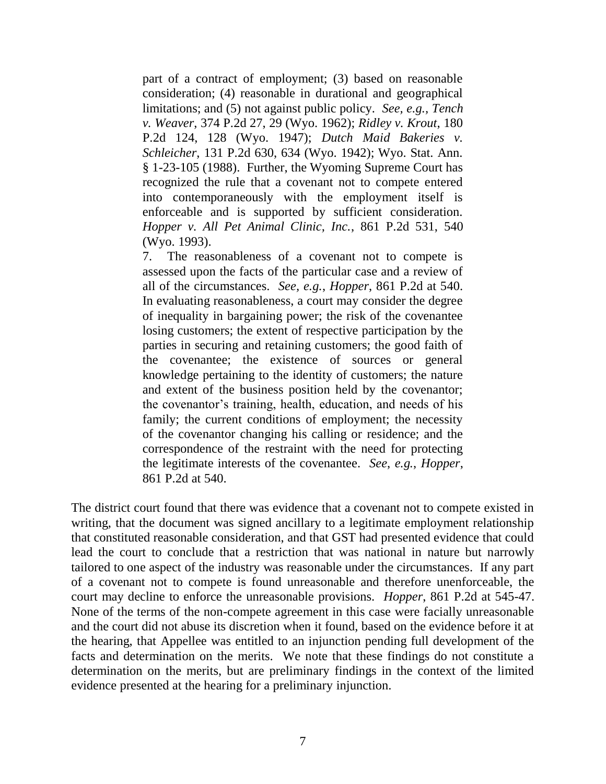part of a contract of employment; (3) based on reasonable consideration; (4) reasonable in durational and geographical limitations; and (5) not against public policy. *See, e.g., Tench v. Weaver*, 374 P.2d 27, 29 (Wyo. 1962); *Ridley v. Krout*, 180 P.2d 124, 128 (Wyo. 1947); *Dutch Maid Bakeries v. Schleicher*, 131 P.2d 630, 634 (Wyo. 1942); Wyo. Stat. Ann. § 1-23-105 (1988). Further, the Wyoming Supreme Court has recognized the rule that a covenant not to compete entered into contemporaneously with the employment itself is enforceable and is supported by sufficient consideration. *Hopper v. All Pet Animal Clinic, Inc.*, 861 P.2d 531, 540 (Wyo. 1993).

7. The reasonableness of a covenant not to compete is assessed upon the facts of the particular case and a review of all of the circumstances. *See, e.g.*, *Hopper*, 861 P.2d at 540. In evaluating reasonableness, a court may consider the degree of inequality in bargaining power; the risk of the covenantee losing customers; the extent of respective participation by the parties in securing and retaining customers; the good faith of the covenantee; the existence of sources or general knowledge pertaining to the identity of customers; the nature and extent of the business position held by the covenantor; the covenantor's training, health, education, and needs of his family; the current conditions of employment; the necessity of the covenantor changing his calling or residence; and the correspondence of the restraint with the need for protecting the legitimate interests of the covenantee. *See*, *e.g.*, *Hopper*, 861 P.2d at 540.

The district court found that there was evidence that a covenant not to compete existed in writing, that the document was signed ancillary to a legitimate employment relationship that constituted reasonable consideration, and that GST had presented evidence that could lead the court to conclude that a restriction that was national in nature but narrowly tailored to one aspect of the industry was reasonable under the circumstances. If any part of a covenant not to compete is found unreasonable and therefore unenforceable, the court may decline to enforce the unreasonable provisions. *Hopper*, 861 P.2d at 545-47. None of the terms of the non-compete agreement in this case were facially unreasonable and the court did not abuse its discretion when it found, based on the evidence before it at the hearing, that Appellee was entitled to an injunction pending full development of the facts and determination on the merits. We note that these findings do not constitute a determination on the merits, but are preliminary findings in the context of the limited evidence presented at the hearing for a preliminary injunction.